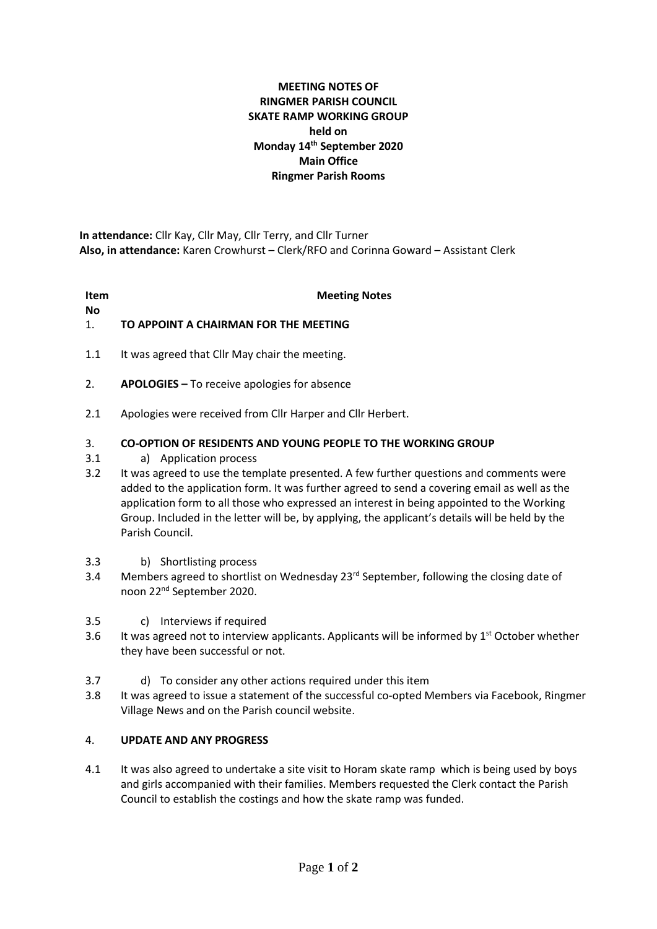# **MEETING NOTES OF RINGMER PARISH COUNCIL SKATE RAMP WORKING GROUP held on Monday 14th September 2020 Main Office Ringmer Parish Rooms**

**In attendance:** Cllr Kay, Cllr May, Cllr Terry, and Cllr Turner **Also, in attendance:** Karen Crowhurst – Clerk/RFO and Corinna Goward – Assistant Clerk

**Item** 

# **Meeting Notes**

**No**

### 1. **TO APPOINT A CHAIRMAN FOR THE MEETING**

- 1.1 It was agreed that Cllr May chair the meeting.
- 2. **APOLOGIES –** To receive apologies for absence
- 2.1 Apologies were received from Cllr Harper and Cllr Herbert.

#### 3. **CO-OPTION OF RESIDENTS AND YOUNG PEOPLE TO THE WORKING GROUP**

- 3.1 a) Application process
- 3.2 It was agreed to use the template presented. A few further questions and comments were added to the application form. It was further agreed to send a covering email as well as the application form to all those who expressed an interest in being appointed to the Working Group. Included in the letter will be, by applying, the applicant's details will be held by the Parish Council.
- 3.3 b) Shortlisting process
- 3.4 Members agreed to shortlist on Wednesday 23<sup>rd</sup> September, following the closing date of noon 22nd September 2020.
- 3.5 c) Interviews if required
- 3.6 It was agreed not to interview applicants. Applicants will be informed by 1<sup>st</sup> October whether they have been successful or not.
- 3.7 d) To consider any other actions required under this item
- 3.8 It was agreed to issue a statement of the successful co-opted Members via Facebook, Ringmer Village News and on the Parish council website.

#### 4. **UPDATE AND ANY PROGRESS**

4.1 It was also agreed to undertake a site visit to Horam skate ramp which is being used by boys and girls accompanied with their families. Members requested the Clerk contact the Parish Council to establish the costings and how the skate ramp was funded.